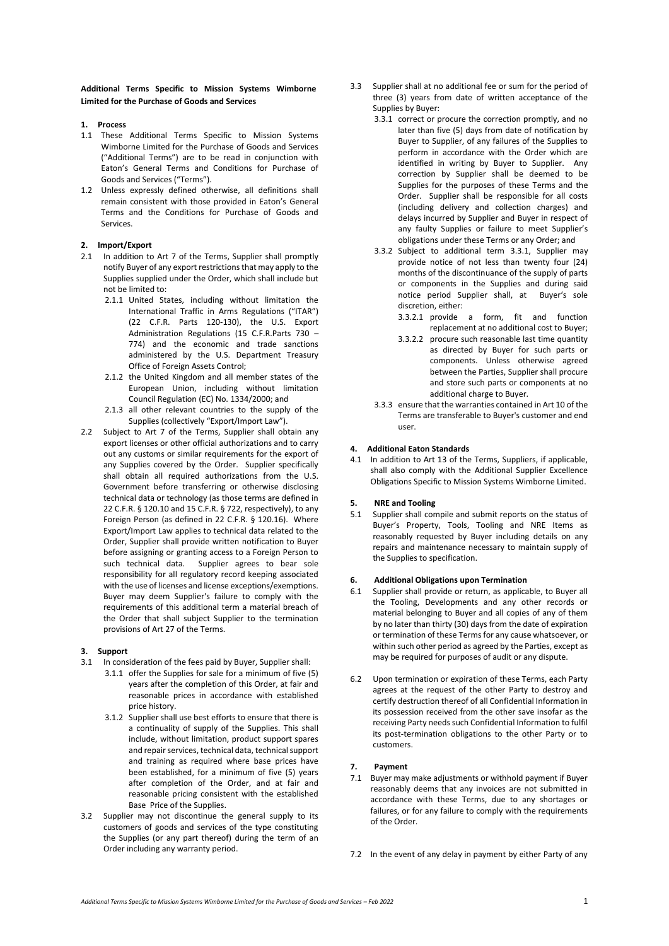**Additional Terms Specific to Mission Systems Wimborne Limited for the Purchase of Goods and Services**

### **1. Process**

- 1.1 These Additional Terms Specific to Mission Systems Wimborne Limited for the Purchase of Goods and Services ("Additional Terms") are to be read in conjunction with Eaton's General Terms and Conditions for Purchase of Goods and Services ("Terms").
- 1.2 Unless expressly defined otherwise, all definitions shall remain consistent with those provided in Eaton's General Terms and the Conditions for Purchase of Goods and Services.

### **2. Import/Export**

- 2.1 In addition to Art 7 of the Terms, Supplier shall promptly notify Buyer of any export restrictions that may apply to the Supplies supplied under the Order, which shall include but not be limited to:
	- 2.1.1 United States, including without limitation the International Traffic in Arms Regulations ("ITAR") (22 C.F.R. Parts 120-130), the U.S. Export Administration Regulations (15 C.F.R.Parts 730 – 774) and the economic and trade sanctions administered by the U.S. Department Treasury Office of Foreign Assets Control;
	- 2.1.2 the United Kingdom and all member states of the European Union, including without limitation Council Regulation (EC) No. 1334/2000; and
	- 2.1.3 all other relevant countries to the supply of the Supplies (collectively "Export/Import Law").
- 2.2 Subject to Art 7 of the Terms, Supplier shall obtain any export licenses or other official authorizations and to carry out any customs or similar requirements for the export of any Supplies covered by the Order. Supplier specifically shall obtain all required authorizations from the U.S. Government before transferring or otherwise disclosing technical data or technology (as those terms are defined in 22 C.F.R. § 120.10 and 15 C.F.R. § 722, respectively), to any Foreign Person (as defined in 22 C.F.R. § 120.16). Where Export/Import Law applies to technical data related to the Order, Supplier shall provide written notification to Buyer before assigning or granting access to a Foreign Person to such technical data. Supplier agrees to bear sole responsibility for all regulatory record keeping associated with the use of licenses and license exceptions/exemptions. Buyer may deem Supplier's failure to comply with the requirements of this additional term a material breach of the Order that shall subject Supplier to the termination provisions of Art 27 of the Terms.

#### **3. Support**

- 3.1 In consideration of the fees paid by Buyer, Supplier shall:
	- 3.1.1 offer the Supplies for sale for a minimum of five (5) years after the completion of this Order, at fair and reasonable prices in accordance with established price history.
	- 3.1.2 Supplier shall use best efforts to ensure that there is a continuality of supply of the Supplies. This shall include, without limitation, product support spares and repair services, technical data, technical support and training as required where base prices have been established, for a minimum of five (5) years after completion of the Order, and at fair and reasonable pricing consistent with the established Base Price of the Supplies.
- 3.2 Supplier may not discontinue the general supply to its customers of goods and services of the type constituting the Supplies (or any part thereof) during the term of an Order including any warranty period.
- 3.3 Supplier shall at no additional fee or sum for the period of three (3) years from date of written acceptance of the Supplies by Buyer:
	- 3.3.1 correct or procure the correction promptly, and no later than five (5) days from date of notification by Buyer to Supplier, of any failures of the Supplies to perform in accordance with the Order which are identified in writing by Buyer to Supplier. Any correction by Supplier shall be deemed to be Supplies for the purposes of these Terms and the Order. Supplier shall be responsible for all costs (including delivery and collection charges) and delays incurred by Supplier and Buyer in respect of any faulty Supplies or failure to meet Supplier's obligations under these Terms or any Order; and
	- 3.3.2 Subject to additional term 3.3.1, Supplier may provide notice of not less than twenty four (24) months of the discontinuance of the supply of parts or components in the Supplies and during said notice period Supplier shall, at Buyer's sole discretion, either:
		- 3.3.2.1 provide a form, fit and function replacement at no additional cost to Buyer;
		- 3.3.2.2 procure such reasonable last time quantity as directed by Buyer for such parts or components. Unless otherwise agreed between the Parties, Supplier shall procure and store such parts or components at no additional charge to Buyer.
	- 3.3.3 ensure that the warranties contained in Art 10 of the Terms are transferable to Buyer's customer and end user.

# **4. Additional Eaton Standards**

4.1 In addition to Art 13 of the Terms, Suppliers, if applicable, shall also comply with the Additional Supplier Excellence Obligations Specific to Mission Systems Wimborne Limited.

## **5. NRE and Tooling**

5.1 Supplier shall compile and submit reports on the status of Buyer's Property, Tools, Tooling and NRE Items as reasonably requested by Buyer including details on any repairs and maintenance necessary to maintain supply of the Supplies to specification.

### **6. Additional Obligations upon Termination**

- 6.1 Supplier shall provide or return, as applicable, to Buyer all the Tooling, Developments and any other records or material belonging to Buyer and all copies of any of them by no later than thirty (30) days from the date of expiration or termination of these Terms for any cause whatsoever, or within such other period as agreed by the Parties, except as may be required for purposes of audit or any dispute.
- 6.2 Upon termination or expiration of these Terms, each Party agrees at the request of the other Party to destroy and certify destruction thereof of all Confidential Information in its possession received from the other save insofar as the receiving Party needs such Confidential Information to fulfil its post-termination obligations to the other Party or to customers.

### **7. Payment**

- 7.1 Buyer may make adjustments or withhold payment if Buyer reasonably deems that any invoices are not submitted in accordance with these Terms, due to any shortages or failures, or for any failure to comply with the requirements of the Order.
- 7.2 In the event of any delay in payment by either Party of any